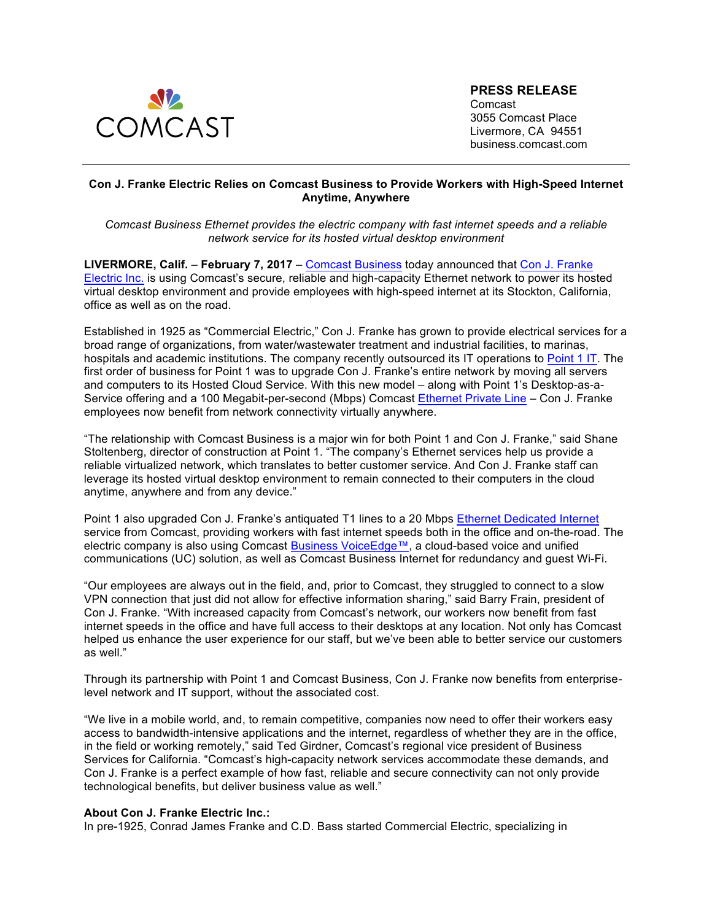

**PRESS RELEASE** Comcast 3055 Comcast Place Livermore, CA 94551 business.comcast.com

# **Con J. Franke Electric Relies on Comcast Business to Provide Workers with High-Speed Internet Anytime, Anywhere**

*Comcast Business Ethernet provides the electric company with fast internet speeds and a reliable network service for its hosted virtual desktop environment* 

**LIVERMORE, Calif.** – **February 7, 2017** – Comcast Business today announced that Con J. Franke Electric Inc. is using Comcast's secure, reliable and high-capacity Ethernet network to power its hosted virtual desktop environment and provide employees with high-speed internet at its Stockton, California, office as well as on the road.

Established in 1925 as "Commercial Electric," Con J. Franke has grown to provide electrical services for a broad range of organizations, from water/wastewater treatment and industrial facilities, to marinas, hospitals and academic institutions. The company recently outsourced its IT operations to Point 1 IT. The first order of business for Point 1 was to upgrade Con J. Franke's entire network by moving all servers and computers to its Hosted Cloud Service. With this new model – along with Point 1's Desktop-as-a-Service offering and a 100 Megabit-per-second (Mbps) Comcast Ethernet Private Line – Con J. Franke employees now benefit from network connectivity virtually anywhere.

"The relationship with Comcast Business is a major win for both Point 1 and Con J. Franke," said Shane Stoltenberg, director of construction at Point 1. "The company's Ethernet services help us provide a reliable virtualized network, which translates to better customer service. And Con J. Franke staff can leverage its hosted virtual desktop environment to remain connected to their computers in the cloud anytime, anywhere and from any device."

Point 1 also upgraded Con J. Franke's antiquated T1 lines to a 20 Mbps Ethernet Dedicated Internet service from Comcast, providing workers with fast internet speeds both in the office and on-the-road. The electric company is also using Comcast Business VoiceEdge™, a cloud-based voice and unified communications (UC) solution, as well as Comcast Business Internet for redundancy and guest Wi-Fi.

"Our employees are always out in the field, and, prior to Comcast, they struggled to connect to a slow VPN connection that just did not allow for effective information sharing," said Barry Frain, president of Con J. Franke. "With increased capacity from Comcast's network, our workers now benefit from fast internet speeds in the office and have full access to their desktops at any location. Not only has Comcast helped us enhance the user experience for our staff, but we've been able to better service our customers as well."

Through its partnership with Point 1 and Comcast Business, Con J. Franke now benefits from enterpriselevel network and IT support, without the associated cost.

"We live in a mobile world, and, to remain competitive, companies now need to offer their workers easy access to bandwidth-intensive applications and the internet, regardless of whether they are in the office, in the field or working remotely," said Ted Girdner, Comcast's regional vice president of Business Services for California. "Comcast's high-capacity network services accommodate these demands, and Con J. Franke is a perfect example of how fast, reliable and secure connectivity can not only provide technological benefits, but deliver business value as well."

#### **About Con J. Franke Electric Inc.:**

In pre-1925, Conrad James Franke and C.D. Bass started Commercial Electric, specializing in